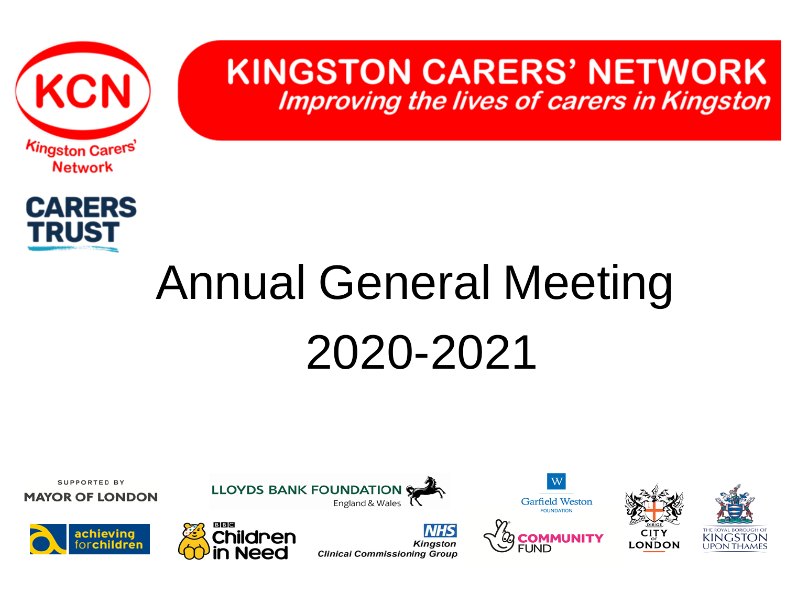

**KINGSTON CARERS' NETWORK Improving the lives of carers in Kingston** 



# Annual General Meeting 2020-2021











**MAYOR OF LONDON** 





**LLOYDS BANK FOUNDATION** 

**NHS Kingston Clinical Commissioning Group** 

England & Wales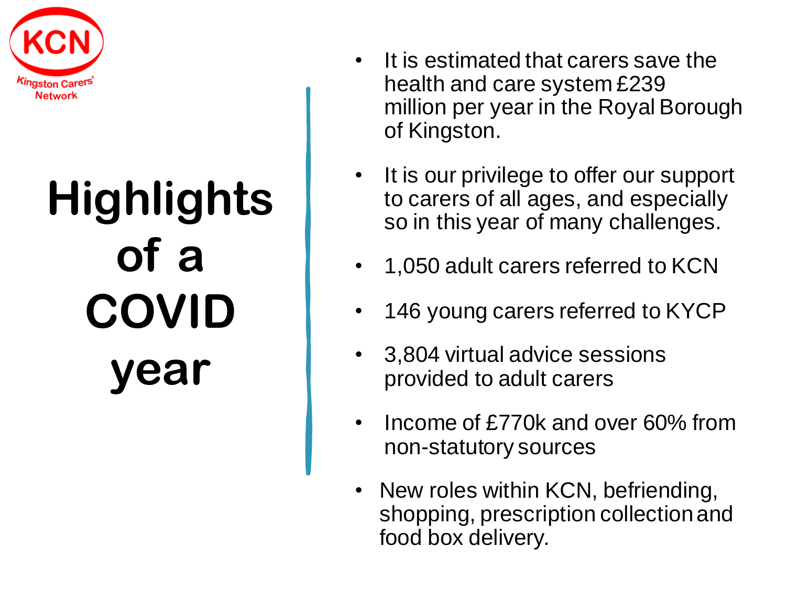

# **Highlights of a COVID year**

- It is estimated that carers save the health and care system £239 million per year in the Royal Borough of Kingston.
- It is our privilege to offer our support to carers of all ages, and especially so in this year of many challenges.
- 1,050 adult carers referred to KCN
- 146 young carers referred to KYCP
- 3,804 virtual advice sessions provided to adult carers
- Income of £770k and over 60% from non-statutory sources
- New roles within KCN, befriending, shopping, prescription collection and food box delivery.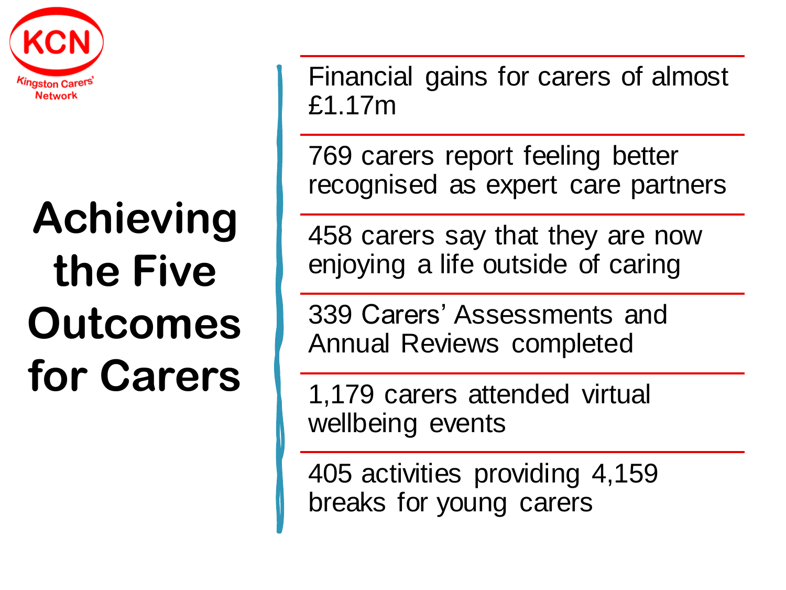

## **Achieving the Five Outcomes for Carers**

Financial gains for carers of almost £1.17m

769 carers report feeling better recognised as expert care partners

458 carers say that they are now enjoying a life outside of caring

339 Carers' Assessments and Annual Reviews completed

1,179 carers attended virtual wellbeing events

405 activities providing 4,159 breaks for young carers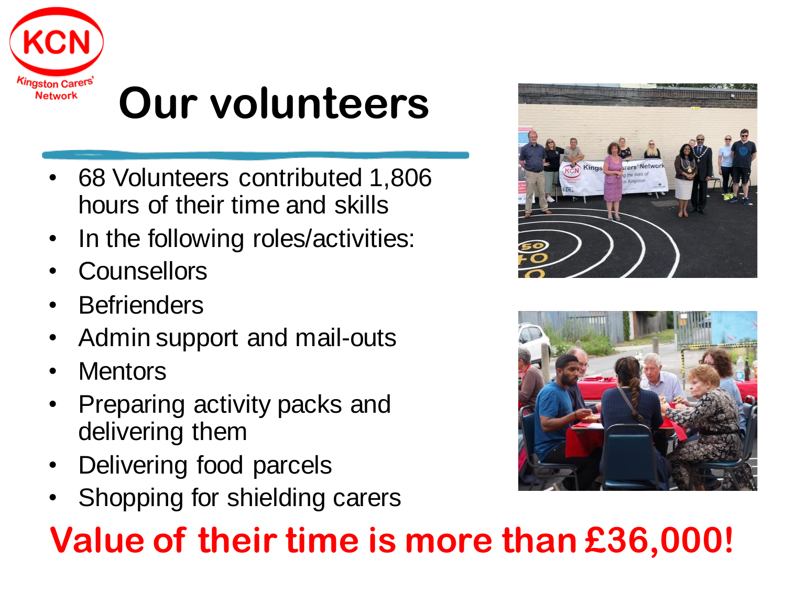

## **Our volunteers**

- 68 Volunteers contributed 1,806 hours of their time and skills
- In the following roles/activities:
- **Counsellors**
- **Befrienders**
- Admin support and mail-outs
- **Mentors**
- Preparing activity packs and delivering them
- Delivering food parcels
- Shopping for shielding carers

#### **Value of their time is more than £36,000!**



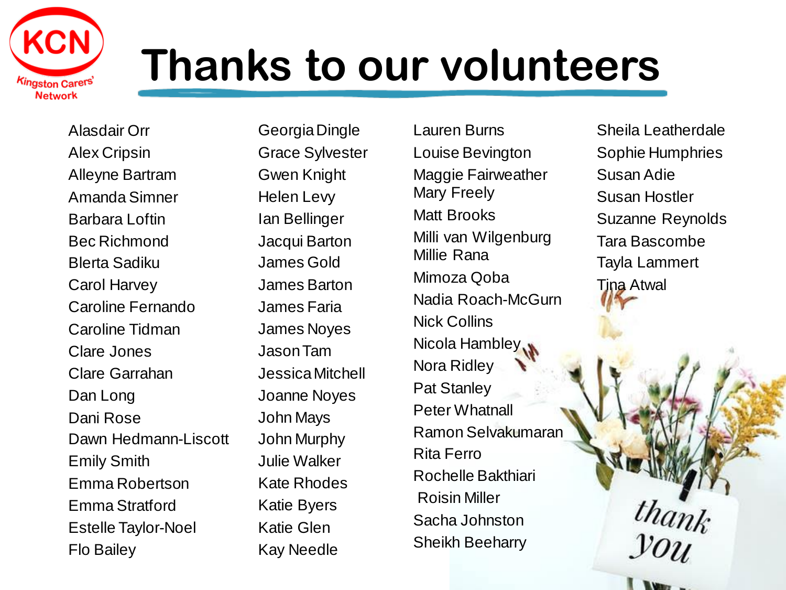

### **Thanks to our volunteers**

Alasdair Orr Alex Cripsin Alleyne Bartram Amanda Simner Barbara Loftin Bec Richmond Blerta Sadiku Carol Harvey Caroline Fernando Caroline Tidman Clare Jones Clare Garrahan Dan Long Dani Rose Dawn Hedmann-Liscott Emily Smith Emma Robertson Emma Stratford Estelle Taylor-Noel Flo Bailey

Georgia Dingle Grace Sylvester Gwen Knight Helen Levy Ian Bellinger Jacqui Barton James Gold James Barton James Faria James Noyes Jason Tam Jessica Mitchell Joanne Noyes John Mays John Murphy Julie Walker Kate Rhodes Katie Byers Katie Glen Kay Needle

Lauren Burns Louise Bevington Maggie Fairweather Mary Freely Matt Brooks Milli van Wilgenburg Millie Rana Mimoza Qoba Nadia Roach-McGurn Nick Collins Nicola Hambley Nora Ridley Pat Stanley Peter Whatnall Ramon Selvakumaran Rita Ferro Rochelle Bakthiari Roisin Miller Sacha Johnston Sheikh Beeharry

Sheila Leatherdale Sophie Humphries Susan Adie Susan Hostler Suzanne Reynolds Tara Bascombe Tayla Lammert Tina Atwal

**Lux**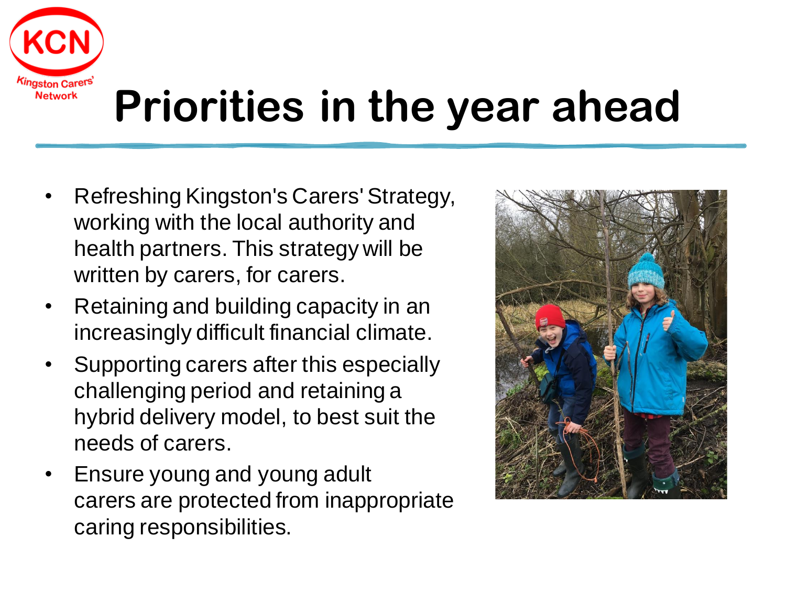

## **Priorities in the year ahead**

- Refreshing Kingston's Carers' Strategy, working with the local authority and health partners. This strategy will be written by carers, for carers.
- Retaining and building capacity in an increasingly difficult financial climate.
- Supporting carers after this especially challenging period and retaining a hybrid delivery model, to best suit the needs of carers.
- Ensure young and young adult carers are protected from inappropriate caring responsibilities.

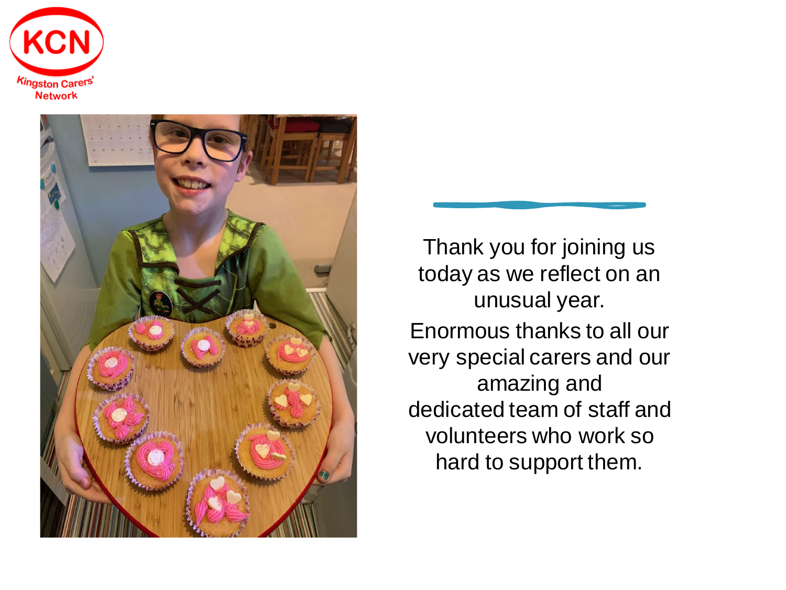



Thank you for joining us today as we reflect on an unusual year. Enormous thanks to all our very special carers and our amazing and dedicated team of staff and volunteers who work so hard to support them.